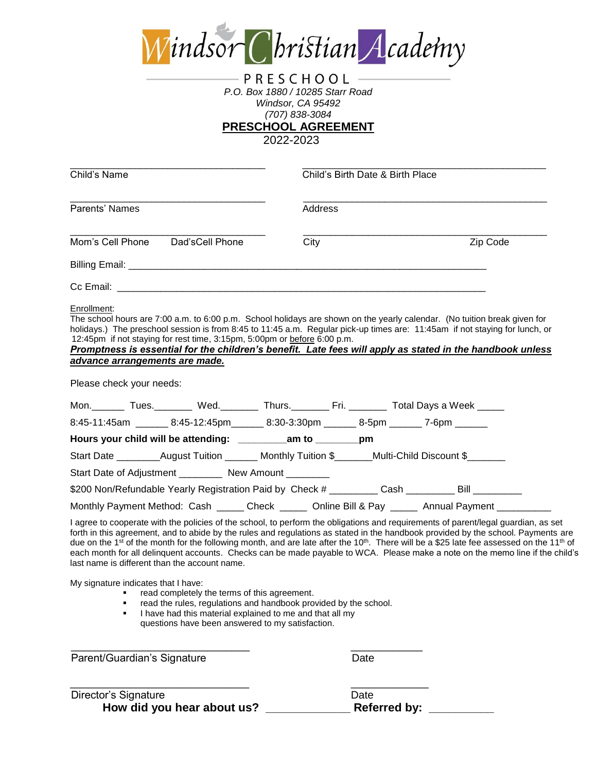

## PRESCHOOL -*P.O. Box 1880 / 10285 Starr Road Windsor, CA 95492 (707) 838-3084*

**PRESCHOOL AGREEMENT**

2022-2023

| City<br>Mom's Cell Phone Dad's Cell Phone<br>Zip Code<br>Enrollment:<br>The school hours are 7:00 a.m. to 6:00 p.m. School holidays are shown on the yearly calendar. (No tuition break given for<br>holidays.) The preschool session is from 8:45 to 11:45 a.m. Regular pick-up times are: 11:45am if not staying for lunch, or<br>12:45pm if not staying for rest time, 3:15pm, 5:00pm or before 6:00 p.m.<br>Promptness is essential for the children's benefit. Late fees will apply as stated in the handbook unless<br>advance arrangements are made.<br>Please check your needs:<br>Mon. Tues. Nod. Nod. Thurs. Nod. Thus. Thus. The Fri. 2004 Nodel Cays a Week 2004.<br>8:45-11:45am _______ 8:45-12:45pm ______ 8:30-3:30pm _______ 8-5pm _______ 7-6pm ______<br>Hours your child will be attending: ___________am to _________pm<br>Start Date ________August Tuition _______ Monthly Tuition \$_______Multi-Child Discount \$______<br>Start Date of Adjustment __________ New Amount ________<br>\$200 Non/Refundable Yearly Registration Paid by Check # _________ Cash _________ Bill _________ | Parents' Names | Address |  |
|-----------------------------------------------------------------------------------------------------------------------------------------------------------------------------------------------------------------------------------------------------------------------------------------------------------------------------------------------------------------------------------------------------------------------------------------------------------------------------------------------------------------------------------------------------------------------------------------------------------------------------------------------------------------------------------------------------------------------------------------------------------------------------------------------------------------------------------------------------------------------------------------------------------------------------------------------------------------------------------------------------------------------------------------------------------------------------------------------------------------|----------------|---------|--|
|                                                                                                                                                                                                                                                                                                                                                                                                                                                                                                                                                                                                                                                                                                                                                                                                                                                                                                                                                                                                                                                                                                                 |                |         |  |
|                                                                                                                                                                                                                                                                                                                                                                                                                                                                                                                                                                                                                                                                                                                                                                                                                                                                                                                                                                                                                                                                                                                 |                |         |  |
|                                                                                                                                                                                                                                                                                                                                                                                                                                                                                                                                                                                                                                                                                                                                                                                                                                                                                                                                                                                                                                                                                                                 |                |         |  |
|                                                                                                                                                                                                                                                                                                                                                                                                                                                                                                                                                                                                                                                                                                                                                                                                                                                                                                                                                                                                                                                                                                                 |                |         |  |
|                                                                                                                                                                                                                                                                                                                                                                                                                                                                                                                                                                                                                                                                                                                                                                                                                                                                                                                                                                                                                                                                                                                 |                |         |  |
|                                                                                                                                                                                                                                                                                                                                                                                                                                                                                                                                                                                                                                                                                                                                                                                                                                                                                                                                                                                                                                                                                                                 |                |         |  |
|                                                                                                                                                                                                                                                                                                                                                                                                                                                                                                                                                                                                                                                                                                                                                                                                                                                                                                                                                                                                                                                                                                                 |                |         |  |
|                                                                                                                                                                                                                                                                                                                                                                                                                                                                                                                                                                                                                                                                                                                                                                                                                                                                                                                                                                                                                                                                                                                 |                |         |  |
|                                                                                                                                                                                                                                                                                                                                                                                                                                                                                                                                                                                                                                                                                                                                                                                                                                                                                                                                                                                                                                                                                                                 |                |         |  |
| Monthly Payment Method: Cash _____ Check _____ Online Bill & Pay _____ Annual Payment __________                                                                                                                                                                                                                                                                                                                                                                                                                                                                                                                                                                                                                                                                                                                                                                                                                                                                                                                                                                                                                |                |         |  |

My signature indicates that I have:

- **•** read completely the terms of this agreement.
- **F** read the rules, regulations and handbook provided by the school.
- I have had this material explained to me and that all my questions have been answered to my satisfaction.

| Date |
|------|
|      |